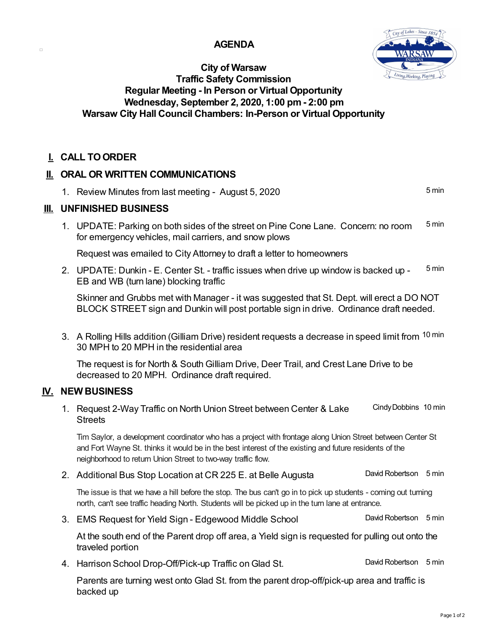#### **AGENDA**



## **City of Warsaw Traffic Safety Commission Regular Meeting - In Person or Virtual Opportunity Wednesday, September 2, 2020, 1:00 pm- 2:00 pm Warsaw City Hall Council Chambers: In-Person or Virtual Opportunity**

## **I. CALL TOORDER**

 $\Box$ 

## **II. ORAL OR WRITTEN COMMUNICATIONS**

1. Review Minutes from last meeting - August 5, 2020 **5 min** ... 5 min

#### **III. UNFINISHED BUSINESS**

1. UPDATE: Parking on both sides of the street on Pine Cone Lane. Concern: no room 5min for emergency vehicles, mail carriers, and snow plows

Request was emailed to City Attorney to draft a letter to homeowners

2. UPDATE: Dunkin - E. Center St. - traffic issues when drive up window is backed up -  $5 \text{ min}$ EB and WB (turn lane) blocking traffic

Skinner and Grubbs met with Manager - it was suggested that St. Dept. will erect a DO NOT BLOCK STREET sign and Dunkin will post portable sign in drive. Ordinance draft needed.

3. A Rolling Hills addition (Gilliam Drive) resident requests a decrease in speed limit from <sup>10 min</sup> 30 MPH to 20 MPH in the residential area

The request is for North & South Gilliam Drive, Deer Trail, and Crest Lane Drive to be decreased to 20 MPH. Ordinance draft required.

## **IV. NEW BUSINESS**

1. Request 2-Way Traffic on North Union Street between Center & Lake Cindy Dobbins 10 min **Streets** 

Tim Saylor, a development coordinator who has a project with frontage along Union Street between Center St and Fort Wayne St. thinks it would be in the best interest of the existing and future residents of the neighborhood to return Union Street to two-way traffic flow.

2. Additional Bus Stop Location at CR 225 E. at Belle Augusta **David Robertson** 5 min

The issue is that we have a hill before the stop. The bus can't go in to pick up students - coming out turning north, can't see traffic heading North. Students will be picked up in the turn lane at entrance.

3. EMS Request for Yield Sign - Edgewood Middle School David Robertson 5 min

At the south end of the Parent drop off area, a Yield sign is requested for pulling out onto the traveled portion

4. Harrison School Drop-Off/Pick-up Traffic on Glad St. **David Robertson 5 min** 

Parents are turning west onto Glad St. from the parent drop-off/pick-up area and traffic is backed up